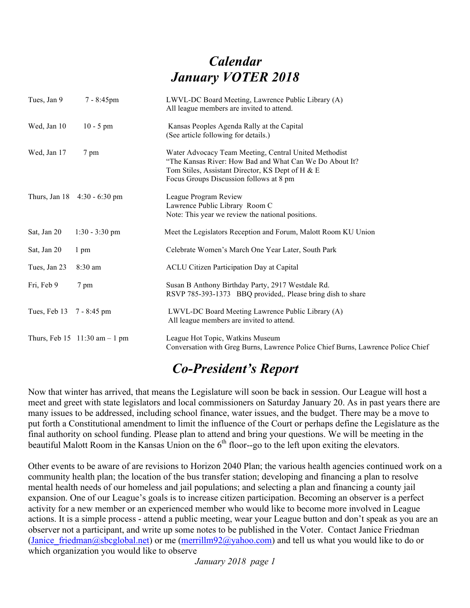## *Calendar January VOTER 2018*

| Tues, Jan 9  | 7 - 8:45pm                                            | LWVL-DC Board Meeting, Lawrence Public Library (A)<br>All league members are invited to attend.                                                                                                                 |
|--------------|-------------------------------------------------------|-----------------------------------------------------------------------------------------------------------------------------------------------------------------------------------------------------------------|
| Wed, Jan 10  | $10 - 5$ pm                                           | Kansas Peoples Agenda Rally at the Capital<br>(See article following for details.)                                                                                                                              |
| Wed, Jan 17  | 7 pm                                                  | Water Advocacy Team Meeting, Central United Methodist<br>"The Kansas River: How Bad and What Can We Do About It?<br>Tom Stiles, Assistant Director, KS Dept of H & E<br>Focus Groups Discussion follows at 8 pm |
|              | Thurs, Jan 18 4:30 - 6:30 pm                          | League Program Review<br>Lawrence Public Library Room C<br>Note: This year we review the national positions.                                                                                                    |
| Sat, Jan 20  | $1:30 - 3:30$ pm                                      | Meet the Legislators Reception and Forum, Malott Room KU Union                                                                                                                                                  |
| Sat, Jan 20  | 1 pm                                                  | Celebrate Women's March One Year Later, South Park                                                                                                                                                              |
| Tues, Jan 23 | $8:30$ am                                             | <b>ACLU Citizen Participation Day at Capital</b>                                                                                                                                                                |
| Fri, Feb 9   | 7 pm                                                  | Susan B Anthony Birthday Party, 2917 Westdale Rd.<br>RSVP 785-393-1373 BBQ provided, Please bring dish to share                                                                                                 |
| Tues, Feb 13 | 7 - 8:45 pm                                           | LWVL-DC Board Meeting Lawrence Public Library (A)<br>All league members are invited to attend.                                                                                                                  |
|              | Thurs, Feb $15 \quad 11:30 \text{ am} - 1 \text{ pm}$ | League Hot Topic, Watkins Museum<br>Conversation with Greg Burns, Lawrence Police Chief Burns, Lawrence Police Chief                                                                                            |

#### *Co-President's Report*

Now that winter has arrived, that means the Legislature will soon be back in session. Our League will host a meet and greet with state legislators and local commissioners on Saturday January 20. As in past years there are many issues to be addressed, including school finance, water issues, and the budget. There may be a move to put forth a Constitutional amendment to limit the influence of the Court or perhaps define the Legislature as the final authority on school funding. Please plan to attend and bring your questions. We will be meeting in the beautiful Malott Room in the Kansas Union on the  $6<sup>th</sup>$  floor--go to the left upon exiting the elevators.

Other events to be aware of are revisions to Horizon 2040 Plan; the various health agencies continued work on a community health plan; the location of the bus transfer station; developing and financing a plan to resolve mental health needs of our homeless and jail populations; and selecting a plan and financing a county jail expansion. One of our League's goals is to increase citizen participation. Becoming an observer is a perfect activity for a new member or an experienced member who would like to become more involved in League actions. It is a simple process - attend a public meeting, wear your League button and don't speak as you are an observer not a participant, and write up some notes to be published in the Voter. Contact Janice Friedman (Janice friedman@sbcglobal.net) or me (merrillm92@yahoo.com) and tell us what you would like to do or which organization you would like to observe

*January 2018 page 1*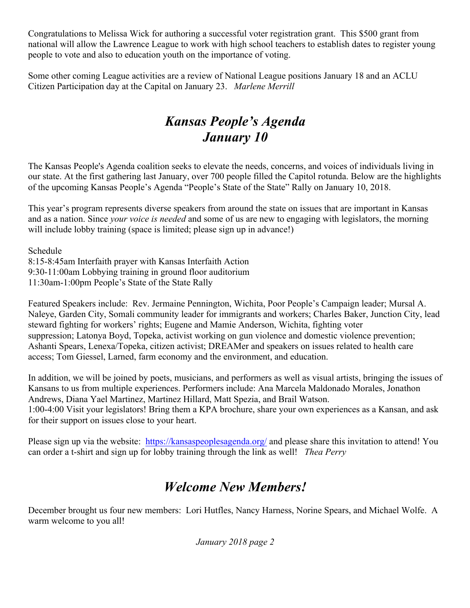Congratulations to Melissa Wick for authoring a successful voter registration grant. This \$500 grant from national will allow the Lawrence League to work with high school teachers to establish dates to register young people to vote and also to education youth on the importance of voting.

Some other coming League activities are a review of National League positions January 18 and an ACLU Citizen Participation day at the Capital on January 23. *Marlene Merrill*

### *Kansas People's Agenda January 10*

The Kansas People's Agenda coalition seeks to elevate the needs, concerns, and voices of individuals living in our state. At the first gathering last January, over 700 people filled the Capitol rotunda. Below are the highlights of the upcoming Kansas People's Agenda "People's State of the State" Rally on January 10, 2018.

This year's program represents diverse speakers from around the state on issues that are important in Kansas and as a nation. Since *your voice is needed* and some of us are new to engaging with legislators, the morning will include lobby training (space is limited; please sign up in advance!)

Schedule

8:15-8:45am Interfaith prayer with Kansas Interfaith Action 9:30-11:00am Lobbying training in ground floor auditorium 11:30am-1:00pm People's State of the State Rally

Featured Speakers include: Rev. Jermaine Pennington, Wichita, Poor People's Campaign leader; Mursal A. Naleye, Garden City, Somali community leader for immigrants and workers; Charles Baker, Junction City, lead steward fighting for workers' rights; Eugene and Mamie Anderson, Wichita, fighting voter suppression; Latonya Boyd, Topeka, activist working on gun violence and domestic violence prevention; Ashanti Spears, Lenexa/Topeka, citizen activist; DREAMer and speakers on issues related to health care access; Tom Giessel, Larned, farm economy and the environment, and education.

In addition, we will be joined by poets, musicians, and performers as well as visual artists, bringing the issues of Kansans to us from multiple experiences. Performers include: Ana Marcela Maldonado Morales, Jonathon Andrews, Diana Yael Martinez, Martinez Hillard, Matt Spezia, and Brail Watson. 1:00-4:00 Visit your legislators! Bring them a KPA brochure, share your own experiences as a Kansan, and ask for their support on issues close to your heart.

Please sign up via the website: https://kansaspeoplesagenda.org/ and please share this invitation to attend! You can order a t-shirt and sign up for lobby training through the link as well! *Thea Perry*

### *Welcome New Members!*

December brought us four new members: Lori Hutfles, Nancy Harness, Norine Spears, and Michael Wolfe. A warm welcome to you all!

*January 2018 page 2*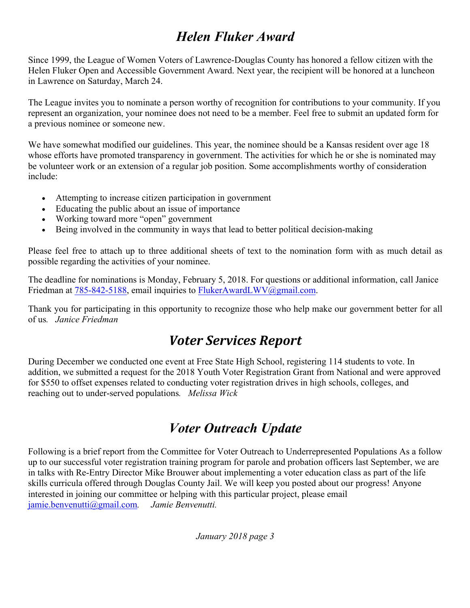### *Helen Fluker Award*

Since 1999, the League of Women Voters of Lawrence-Douglas County has honored a fellow citizen with the Helen Fluker Open and Accessible Government Award. Next year, the recipient will be honored at a luncheon in Lawrence on Saturday, March 24.

The League invites you to nominate a person worthy of recognition for contributions to your community. If you represent an organization, your nominee does not need to be a member. Feel free to submit an updated form for a previous nominee or someone new.

We have somewhat modified our guidelines. This year, the nominee should be a Kansas resident over age 18 whose efforts have promoted transparency in government. The activities for which he or she is nominated may be volunteer work or an extension of a regular job position. Some accomplishments worthy of consideration include:

- Attempting to increase citizen participation in government
- Educating the public about an issue of importance
- Working toward more "open" government
- Being involved in the community in ways that lead to better political decision-making

Please feel free to attach up to three additional sheets of text to the nomination form with as much detail as possible regarding the activities of your nominee.

The deadline for nominations is Monday, February 5, 2018. For questions or additional information, call Janice Friedman at 785-842-5188, email inquiries to FlukerAwardLWV@gmail.com.

Thank you for participating in this opportunity to recognize those who help make our government better for all of us*. Janice Friedman*

### *Voter Services Report*

During December we conducted one event at Free State High School, registering 114 students to vote. In addition, we submitted a request for the 2018 Youth Voter Registration Grant from National and were approved for \$550 to offset expenses related to conducting voter registration drives in high schools, colleges, and reaching out to under-served populations*. Melissa Wick*

# *Voter Outreach Update*

Following is a brief report from the Committee for Voter Outreach to Underrepresented Populations As a follow up to our successful voter registration training program for parole and probation officers last September, we are in talks with Re-Entry Director Mike Brouwer about implementing a voter education class as part of the life skills curricula offered through Douglas County Jail. We will keep you posted about our progress! Anyone interested in joining our committee or helping with this particular project, please email  $\frac{1}{\text{amine}}$ . *Jamie Benvenutti.* jamie.benvenutti@gmail.com.

*January 2018 page 3*